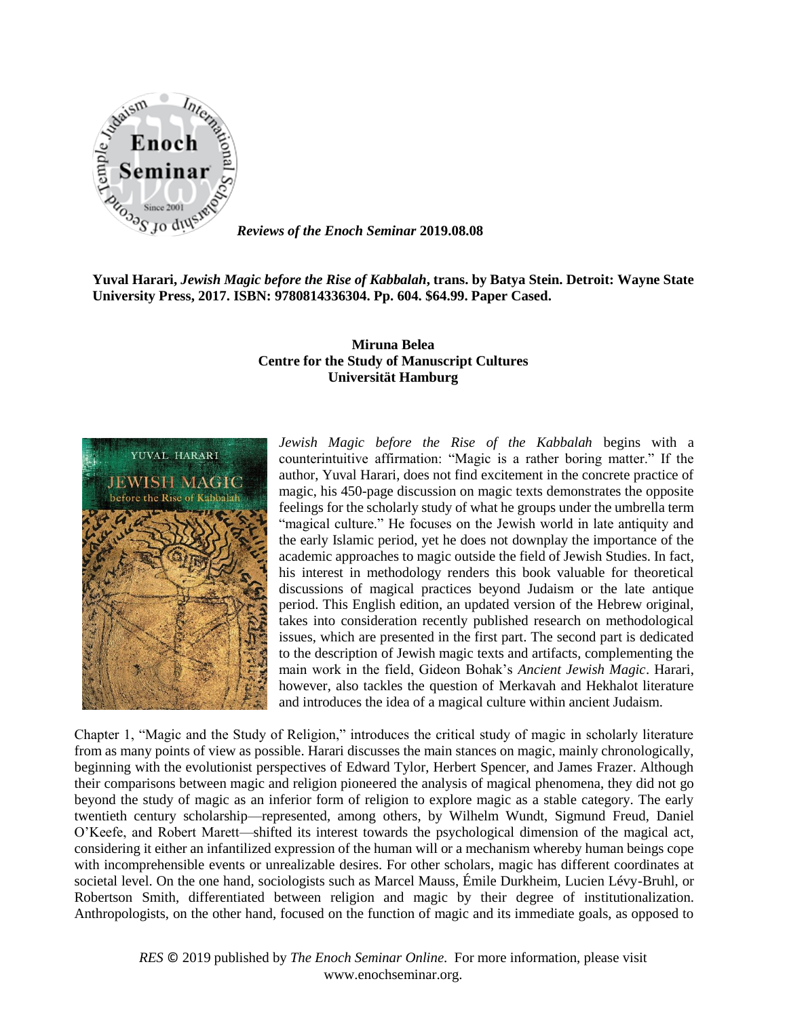

*Reviews of the Enoch Seminar* **2019.08.08**

**Yuval Harari,** *Jewish Magic before the Rise of Kabbalah***, trans. by Batya Stein. Detroit: Wayne State University Press, 2017. ISBN: 9780814336304. Pp. 604. \$64.99. Paper Cased.** 

## **Miruna Belea Centre for the Study of Manuscript Cultures Universität Hamburg**



*Jewish Magic before the Rise of the Kabbalah* begins with a counterintuitive affirmation: "Magic is a rather boring matter." If the author, Yuval Harari, does not find excitement in the concrete practice of magic, his 450-page discussion on magic texts demonstrates the opposite feelings for the scholarly study of what he groups under the umbrella term "magical culture." He focuses on the Jewish world in late antiquity and the early Islamic period, yet he does not downplay the importance of the academic approaches to magic outside the field of Jewish Studies. In fact, his interest in methodology renders this book valuable for theoretical discussions of magical practices beyond Judaism or the late antique period. This English edition, an updated version of the Hebrew original, takes into consideration recently published research on methodological issues, which are presented in the first part. The second part is dedicated to the description of Jewish magic texts and artifacts, complementing the main work in the field, Gideon Bohak's *Ancient Jewish Magic*. Harari, however, also tackles the question of Merkavah and Hekhalot literature and introduces the idea of a magical culture within ancient Judaism.

Chapter 1, "Magic and the Study of Religion," introduces the critical study of magic in scholarly literature from as many points of view as possible. Harari discusses the main stances on magic, mainly chronologically, beginning with the evolutionist perspectives of Edward Tylor, Herbert Spencer, and James Frazer. Although their comparisons between magic and religion pioneered the analysis of magical phenomena, they did not go beyond the study of magic as an inferior form of religion to explore magic as a stable category. The early twentieth century scholarship—represented, among others, by Wilhelm Wundt, Sigmund Freud, Daniel O'Keefe, and Robert Marett—shifted its interest towards the psychological dimension of the magical act, considering it either an infantilized expression of the human will or a mechanism whereby human beings cope with incomprehensible events or unrealizable desires. For other scholars, magic has different coordinates at societal level. On the one hand, sociologists such as Marcel Mauss, Émile Durkheim, Lucien Lévy-Bruhl, or Robertson Smith, differentiated between religion and magic by their degree of institutionalization. Anthropologists, on the other hand, focused on the function of magic and its immediate goals, as opposed to

> *RES* © 2019 published by *The Enoch Seminar Online*. For more information, please visit www.enochseminar.org.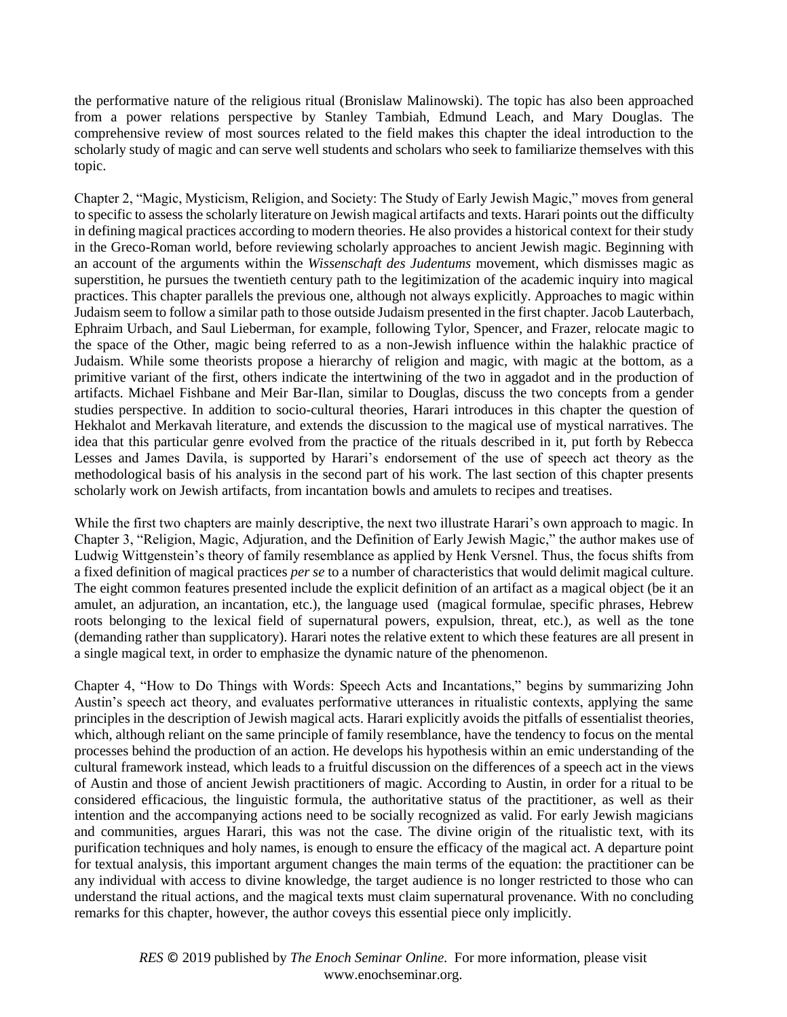the performative nature of the religious ritual (Bronislaw Malinowski). The topic has also been approached from a power relations perspective by Stanley Tambiah, Edmund Leach, and Mary Douglas. The comprehensive review of most sources related to the field makes this chapter the ideal introduction to the scholarly study of magic and can serve well students and scholars who seek to familiarize themselves with this topic.

Chapter 2, "Magic, Mysticism, Religion, and Society: The Study of Early Jewish Magic," moves from general to specific to assess the scholarly literature on Jewish magical artifacts and texts. Harari points out the difficulty in defining magical practices according to modern theories. He also provides a historical context for their study in the Greco-Roman world, before reviewing scholarly approaches to ancient Jewish magic. Beginning with an account of the arguments within the *Wissenschaft des Judentums* movement, which dismisses magic as superstition, he pursues the twentieth century path to the legitimization of the academic inquiry into magical practices. This chapter parallels the previous one, although not always explicitly. Approaches to magic within Judaism seem to follow a similar path to those outside Judaism presented in the first chapter. Jacob Lauterbach, Ephraim Urbach, and Saul Lieberman, for example, following Tylor, Spencer, and Frazer, relocate magic to the space of the Other, magic being referred to as a non-Jewish influence within the halakhic practice of Judaism. While some theorists propose a hierarchy of religion and magic, with magic at the bottom, as a primitive variant of the first, others indicate the intertwining of the two in aggadot and in the production of artifacts. Michael Fishbane and Meir Bar-Ilan, similar to Douglas, discuss the two concepts from a gender studies perspective. In addition to socio-cultural theories, Harari introduces in this chapter the question of Hekhalot and Merkavah literature, and extends the discussion to the magical use of mystical narratives. The idea that this particular genre evolved from the practice of the rituals described in it, put forth by Rebecca Lesses and James Davila, is supported by Harari's endorsement of the use of speech act theory as the methodological basis of his analysis in the second part of his work. The last section of this chapter presents scholarly work on Jewish artifacts, from incantation bowls and amulets to recipes and treatises.

While the first two chapters are mainly descriptive, the next two illustrate Harari's own approach to magic. In Chapter 3, "Religion, Magic, Adjuration, and the Definition of Early Jewish Magic," the author makes use of Ludwig Wittgenstein's theory of family resemblance as applied by Henk Versnel. Thus, the focus shifts from a fixed definition of magical practices *per se* to a number of characteristics that would delimit magical culture. The eight common features presented include the explicit definition of an artifact as a magical object (be it an amulet, an adjuration, an incantation, etc.), the language used (magical formulae, specific phrases, Hebrew roots belonging to the lexical field of supernatural powers, expulsion, threat, etc.), as well as the tone (demanding rather than supplicatory). Harari notes the relative extent to which these features are all present in a single magical text, in order to emphasize the dynamic nature of the phenomenon.

Chapter 4, "How to Do Things with Words: Speech Acts and Incantations," begins by summarizing John Austin's speech act theory, and evaluates performative utterances in ritualistic contexts, applying the same principles in the description of Jewish magical acts. Harari explicitly avoids the pitfalls of essentialist theories, which, although reliant on the same principle of family resemblance, have the tendency to focus on the mental processes behind the production of an action. He develops his hypothesis within an emic understanding of the cultural framework instead, which leads to a fruitful discussion on the differences of a speech act in the views of Austin and those of ancient Jewish practitioners of magic. According to Austin, in order for a ritual to be considered efficacious, the linguistic formula, the authoritative status of the practitioner, as well as their intention and the accompanying actions need to be socially recognized as valid. For early Jewish magicians and communities, argues Harari, this was not the case. The divine origin of the ritualistic text, with its purification techniques and holy names, is enough to ensure the efficacy of the magical act. A departure point for textual analysis, this important argument changes the main terms of the equation: the practitioner can be any individual with access to divine knowledge, the target audience is no longer restricted to those who can understand the ritual actions, and the magical texts must claim supernatural provenance. With no concluding remarks for this chapter, however, the author coveys this essential piece only implicitly.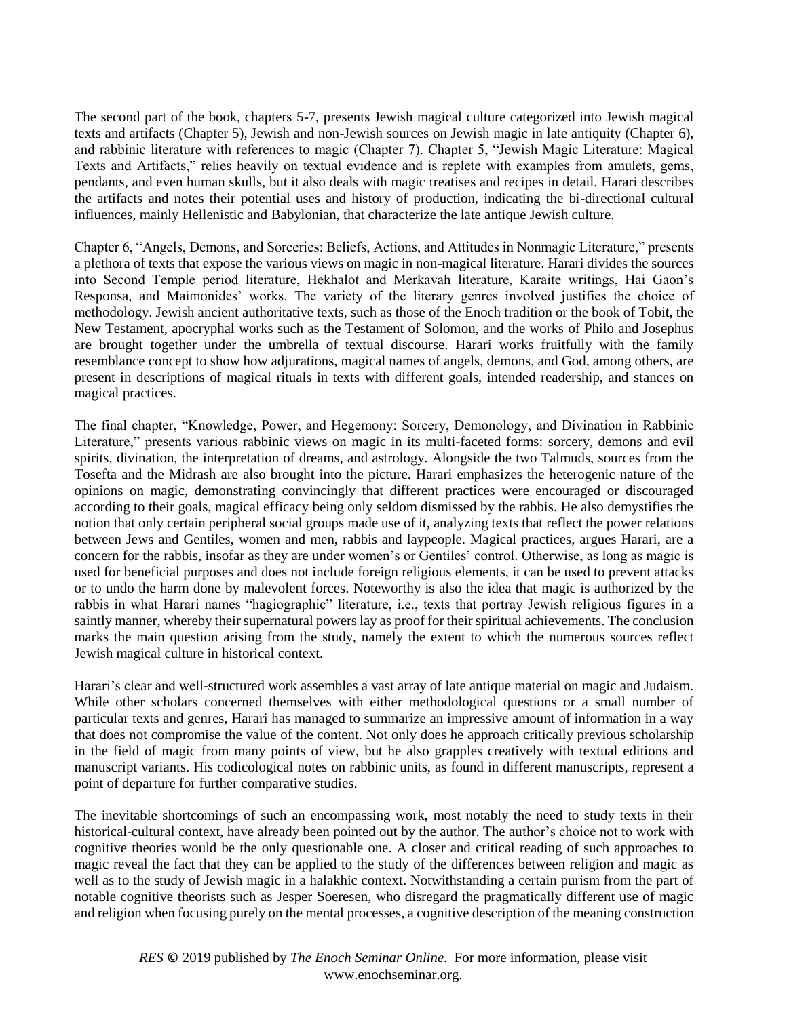The second part of the book, chapters 5-7, presents Jewish magical culture categorized into Jewish magical texts and artifacts (Chapter 5), Jewish and non-Jewish sources on Jewish magic in late antiquity (Chapter 6), and rabbinic literature with references to magic (Chapter 7). Chapter 5, "Jewish Magic Literature: Magical Texts and Artifacts," relies heavily on textual evidence and is replete with examples from amulets, gems, pendants, and even human skulls, but it also deals with magic treatises and recipes in detail. Harari describes the artifacts and notes their potential uses and history of production, indicating the bi-directional cultural influences, mainly Hellenistic and Babylonian, that characterize the late antique Jewish culture.

Chapter 6, "Angels, Demons, and Sorceries: Beliefs, Actions, and Attitudes in Nonmagic Literature," presents a plethora of texts that expose the various views on magic in non-magical literature. Harari divides the sources into Second Temple period literature, Hekhalot and Merkavah literature, Karaite writings, Hai Gaon's Responsa, and Maimonides' works. The variety of the literary genres involved justifies the choice of methodology. Jewish ancient authoritative texts, such as those of the Enoch tradition or the book of Tobit, the New Testament, apocryphal works such as the Testament of Solomon, and the works of Philo and Josephus are brought together under the umbrella of textual discourse. Harari works fruitfully with the family resemblance concept to show how adjurations, magical names of angels, demons, and God, among others, are present in descriptions of magical rituals in texts with different goals, intended readership, and stances on magical practices.

The final chapter, "Knowledge, Power, and Hegemony: Sorcery, Demonology, and Divination in Rabbinic Literature," presents various rabbinic views on magic in its multi-faceted forms: sorcery, demons and evil spirits, divination, the interpretation of dreams, and astrology. Alongside the two Talmuds, sources from the Tosefta and the Midrash are also brought into the picture. Harari emphasizes the heterogenic nature of the opinions on magic, demonstrating convincingly that different practices were encouraged or discouraged according to their goals, magical efficacy being only seldom dismissed by the rabbis. He also demystifies the notion that only certain peripheral social groups made use of it, analyzing texts that reflect the power relations between Jews and Gentiles, women and men, rabbis and laypeople. Magical practices, argues Harari, are a concern for the rabbis, insofar as they are under women's or Gentiles' control. Otherwise, as long as magic is used for beneficial purposes and does not include foreign religious elements, it can be used to prevent attacks or to undo the harm done by malevolent forces. Noteworthy is also the idea that magic is authorized by the rabbis in what Harari names "hagiographic" literature, i.e., texts that portray Jewish religious figures in a saintly manner, whereby their supernatural powers lay as proof for their spiritual achievements. The conclusion marks the main question arising from the study, namely the extent to which the numerous sources reflect Jewish magical culture in historical context.

Harari's clear and well-structured work assembles a vast array of late antique material on magic and Judaism. While other scholars concerned themselves with either methodological questions or a small number of particular texts and genres, Harari has managed to summarize an impressive amount of information in a way that does not compromise the value of the content. Not only does he approach critically previous scholarship in the field of magic from many points of view, but he also grapples creatively with textual editions and manuscript variants. His codicological notes on rabbinic units, as found in different manuscripts, represent a point of departure for further comparative studies.

The inevitable shortcomings of such an encompassing work, most notably the need to study texts in their historical-cultural context, have already been pointed out by the author. The author's choice not to work with cognitive theories would be the only questionable one. A closer and critical reading of such approaches to magic reveal the fact that they can be applied to the study of the differences between religion and magic as well as to the study of Jewish magic in a halakhic context. Notwithstanding a certain purism from the part of notable cognitive theorists such as Jesper Soeresen, who disregard the pragmatically different use of magic and religion when focusing purely on the mental processes, a cognitive description of the meaning construction